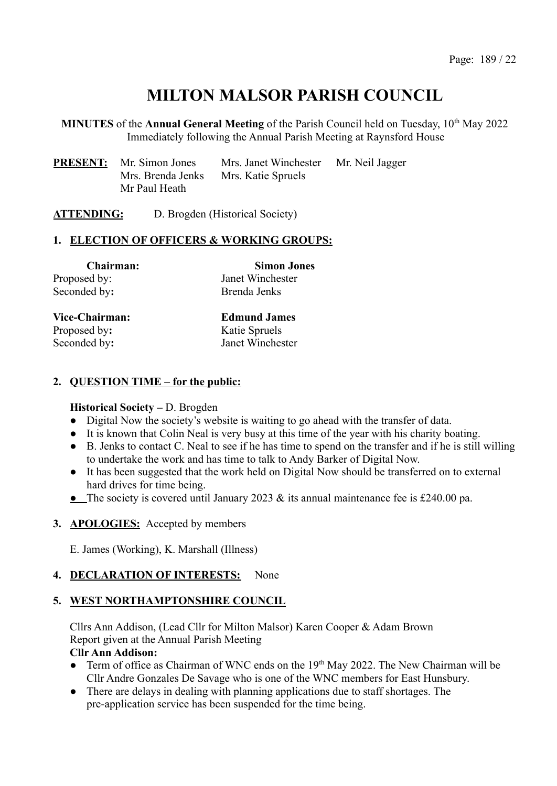# **MILTON MALSOR PARISH COUNCIL**

**MINUTES** of the **Annual General Meeting** of the Parish Council held on Tuesday, 10<sup>th</sup> May 2022 Immediately following the Annual Parish Meeting at Raynsford House

| <b>PRESENT:</b> Mr. Simon Jones | Mrs. Janet Winchester | Mr. Neil Jagger |
|---------------------------------|-----------------------|-----------------|
| Mrs. Brenda Jenks               | Mrs. Katie Spruels    |                 |
| Mr Paul Heath                   |                       |                 |

**ATTENDING:** D. Brogden (Historical Society)

### **1. ELECTION OF OFFICERS & WORKING GROUPS:**

| <b>Chairman:</b> | <b>Simon Jones</b> |
|------------------|--------------------|
| Proposed by:     | Janet Winchester   |
| Seconded by:     | Brenda Jenks       |

Proposed by: Katie Spruels

**Vice-Chairman: Edmund James** Seconded by: Janet Winchester

### **2. QUESTION TIME – for the public:**

#### **Historical Society –** D. Brogden

- Digital Now the society's website is waiting to go ahead with the transfer of data.
- It is known that Colin Neal is very busy at this time of the year with his charity boating.
- B. Jenks to contact C. Neal to see if he has time to spend on the transfer and if he is still willing to undertake the work and has time to talk to Andy Barker of Digital Now.
- It has been suggested that the work held on Digital Now should be transferred on to external hard drives for time being.
- **●** The society is covered until January 2023 & its annual maintenance fee is £240.00 pa.

### **3. APOLOGIES:** Accepted by members

E. James (Working), K. Marshall (Illness)

### **4. DECLARATION OF INTERESTS:** None

### **5. WEST NORTHAMPTONSHIRE COUNCIL**

Cllrs Ann Addison, (Lead Cllr for Milton Malsor) Karen Cooper & Adam Brown Report given at the Annual Parish Meeting

#### **Cllr Ann Addison:**

- Term of office as Chairman of WNC ends on the 19<sup>th</sup> May 2022. The New Chairman will be Cllr Andre Gonzales De Savage who is one of the WNC members for East Hunsbury.
- There are delays in dealing with planning applications due to staff shortages. The pre-application service has been suspended for the time being.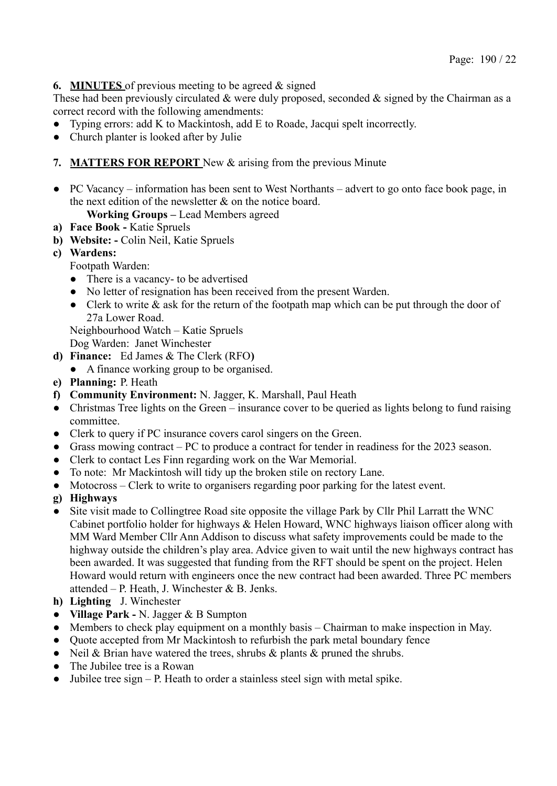## **6. MINUTES** of previous meeting to be agreed & signed

These had been previously circulated  $\&$  were duly proposed, seconded  $\&$  signed by the Chairman as a correct record with the following amendments:

- Typing errors: add K to Mackintosh, add E to Roade, Jacqui spelt incorrectly.
- Church planter is looked after by Julie

## **7. MATTERS FOR REPORT** New & arising from the previous Minute

● PC Vacancy – information has been sent to West Northants – advert to go onto face book page, in the next edition of the newsletter & on the notice board.

**Working Groups –** Lead Members agreed

- **a) Face Book -** Katie Spruels
- **b) Website: -** Colin Neil, Katie Spruels
- **c) Wardens:**

Footpath Warden:

- There is a vacancy- to be advertised
- No letter of resignation has been received from the present Warden.
- Clerk to write  $\&$  ask for the return of the footpath map which can be put through the door of 27a Lower Road.

Neighbourhood Watch – Katie Spruels

Dog Warden: Janet Winchester

- **d) Finance:** Ed James & The Clerk (RFO**)**
	- **●** A finance working group to be organised.
- **e) Planning:** P. Heath
- **f) Community Environment:** N. Jagger, K. Marshall, Paul Heath
- Christmas Tree lights on the Green insurance cover to be queried as lights belong to fund raising committee.
- Clerk to query if PC insurance covers carol singers on the Green.
- Grass mowing contract PC to produce a contract for tender in readiness for the 2023 season.
- Clerk to contact Les Finn regarding work on the War Memorial.
- To note: Mr Mackintosh will tidy up the broken stile on rectory Lane.
- **●** Motocross Clerk to write to organisers regarding poor parking for the latest event.
- **g) Highways**
- **●** Site visit made to Collingtree Road site opposite the village Park by Cllr Phil Larratt the WNC Cabinet portfolio holder for highways & Helen Howard, WNC highways liaison officer along with MM Ward Member Cllr Ann Addison to discuss what safety improvements could be made to the highway outside the children's play area. Advice given to wait until the new highways contract has been awarded. It was suggested that funding from the RFT should be spent on the project. Helen Howard would return with engineers once the new contract had been awarded. Three PC members attended – P. Heath, J. Winchester & B. Jenks.
- **h) Lighting** J. Winchester
- **Village Park -** N. Jagger & B Sumpton
- Members to check play equipment on a monthly basis Chairman to make inspection in May.
- Ouote accepted from Mr Mackintosh to refurbish the park metal boundary fence
- Neil & Brian have watered the trees, shrubs & plants & pruned the shrubs.
- The Jubilee tree is a Rowan
- Jubilee tree sign P. Heath to order a stainless steel sign with metal spike.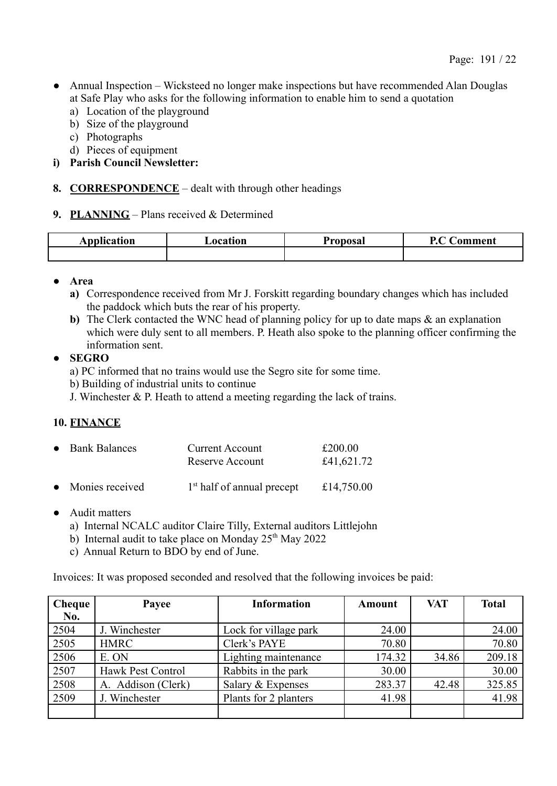- Annual Inspection Wicksteed no longer make inspections but have recommended Alan Douglas at Safe Play who asks for the following information to enable him to send a quotation
	- a) Location of the playground
	- b) Size of the playground
	- c) Photographs
	- d) Pieces of equipment
- **i) Parish Council Newsletter:**
- **8. CORRESPONDENCE** dealt with through other headings
- **9. PLANNING** Plans received & Determined

| $ -$<br>Application | ocation | $P_{\text{nonlocal}}$ | n.<br>'omment |
|---------------------|---------|-----------------------|---------------|
|                     |         |                       |               |

- **Area**
	- **a)** Correspondence received from Mr J. Forskitt regarding boundary changes which has included the paddock which buts the rear of his property.
	- **b**) The Clerk contacted the WNC head of planning policy for up to date maps  $\&$  an explanation which were duly sent to all members. P. Heath also spoke to the planning officer confirming the information sent.

## ● **SEGRO**

- a) PC informed that no trains would use the Segro site for some time.
- b) Building of industrial units to continue
- J. Winchester & P. Heath to attend a meeting regarding the lack of trains.

# **10. FINANCE**

| • Bank Balances   | <b>Current Account</b><br>Reserve Account | £200.00<br>£41,621.72 |
|-------------------|-------------------------------------------|-----------------------|
| • Monies received | 1 <sup>st</sup> half of annual precept    | £14,750.00            |

- Audit matters
	- a) Internal NCALC auditor Claire Tilly, External auditors Littlejohn
	- b) Internal audit to take place on Monday  $25<sup>th</sup>$  May 2022
	- c) Annual Return to BDO by end of June.

Invoices: It was proposed seconded and resolved that the following invoices be paid:

| <b>Cheque</b> | Payee              | <b>Information</b>    | <b>Amount</b> | <b>VAT</b> | <b>Total</b> |
|---------------|--------------------|-----------------------|---------------|------------|--------------|
| No.           |                    |                       |               |            |              |
| 2504          | J. Winchester      | Lock for village park | 24.00         |            | 24.00        |
| 2505          | <b>HMRC</b>        | Clerk's PAYE          | 70.80         |            | 70.80        |
| 2506          | E. ON              | Lighting maintenance  | 174.32        | 34.86      | 209.18       |
| 2507          | Hawk Pest Control  | Rabbits in the park   | 30.00         |            | 30.00        |
| 2508          | A. Addison (Clerk) | Salary & Expenses     | 283.37        | 42.48      | 325.85       |
| 2509          | J. Winchester      | Plants for 2 planters | 41.98         |            | 41.98        |
|               |                    |                       |               |            |              |